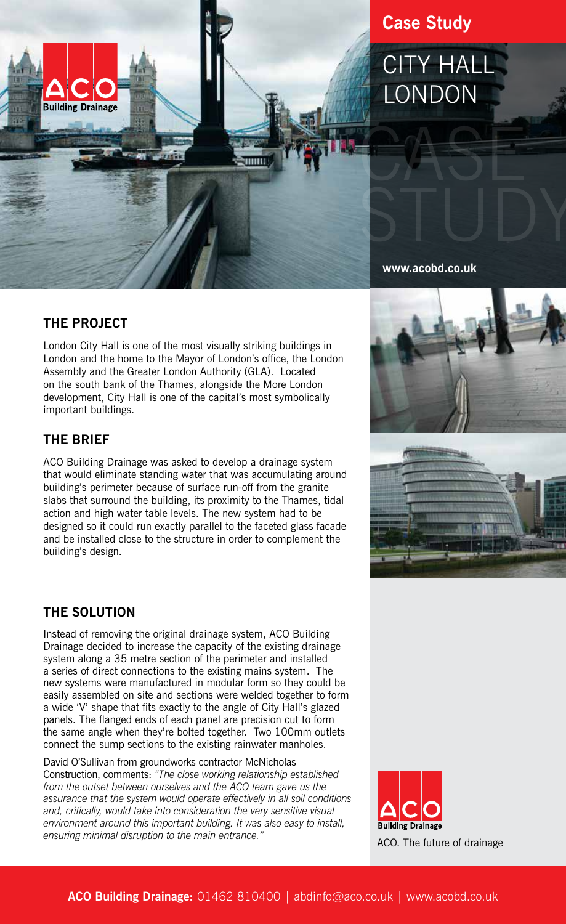

## **Case Study**

# CITY HALL LONDON

**www.acobd.co.uk**

### **THE PROJECT**

London City Hall is one of the most visually striking buildings in London and the home to the Mayor of London's office, the London Assembly and the Greater London Authority (GLA). Located on the south bank of the Thames, alongside the More London development, City Hall is one of the capital's most symbolically important buildings.

#### **THE BRIEF**

ACO Building Drainage was asked to develop a drainage system that would eliminate standing water that was accumulating around building's perimeter because of surface run-off from the granite slabs that surround the building, its proximity to the Thames, tidal action and high water table levels. The new system had to be designed so it could run exactly parallel to the faceted glass facade and be installed close to the structure in order to complement the building's design.

#### **THE SOLUTION**

Instead of removing the original drainage system, ACO Building Drainage decided to increase the capacity of the existing drainage system along a 35 metre section of the perimeter and installed a series of direct connections to the existing mains system. The new systems were manufactured in modular form so they could be easily assembled on site and sections were welded together to form a wide 'V' shape that fits exactly to the angle of City Hall's glazed panels. The flanged ends of each panel are precision cut to form the same angle when they're bolted together. Two 100mm outlets connect the sump sections to the existing rainwater manholes.

David O'Sullivan from groundworks contractor McNicholas Construction, comments: *"The close working relationship established from the outset between ourselves and the ACO team gave us the assurance that the system would operate effectively in all soil conditions and, critically, would take into consideration the very sensitive visual environment around this important building. It was also easy to install, ensuring minimal disruption to the main entrance."*